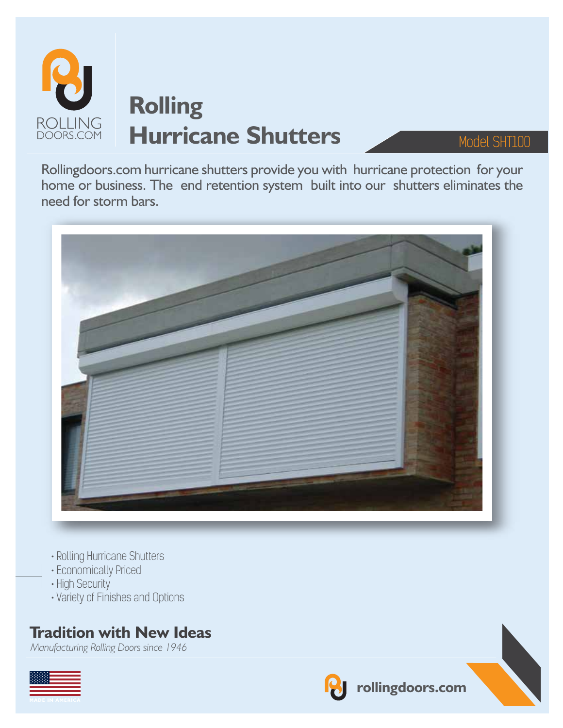

Rollingdoors.com hurricane shutters provide you with hurricane protection for your home or business. The end retention system built into our shutters eliminates the need for storm bars.



- Rolling Hurricane Shutters
- Economically Priced
- High Security
- Variety of Finishes and Options

## **Tradition with New Ideas**

*Manufacturing Rolling Doors since 1946*





**rollingdoors.com**